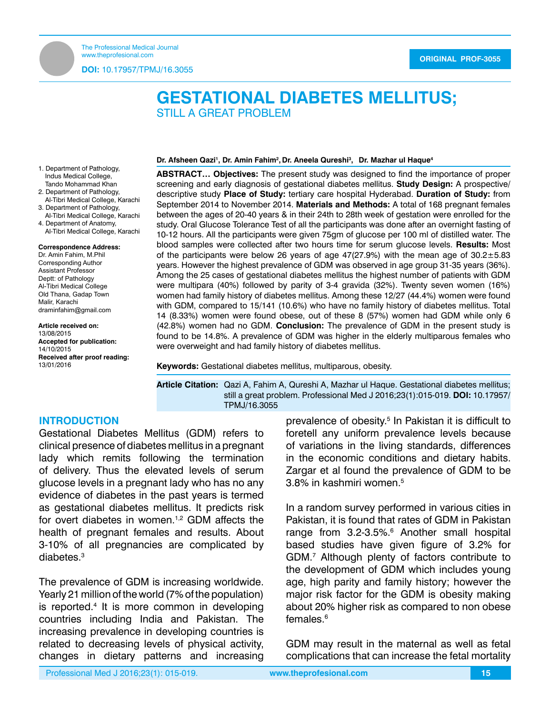**GESTATIONAL DIABETES MELLITUS**

**DOI:** 10.17957/TPMJ/16.3055

# **GESTATIONAL DIABETES MELLITUS;** STILL A GREAT PROBLEM

#### **Dr. Afsheen Qazi1 , Dr. Amin Fahim2 , Dr. Aneela Qureshi3 , Dr. Mazhar ul Haque4**

- 1. Department of Pathology, Indus Medical College, Tando Mohammad Khan 2. Department of Pathology, Al-Tibri Medical College, Karachi
- 3. Department of Pathology, Al-Tibri Medical College, Karachi
- 4. Department of Anatomy, Al-Tibri Medical College, Karachi

#### **Correspondence Address:**

Dr. Amin Fahim, M.Phil Corresponding Author Assistant Professor Deptt: of Pathology Al-Tibri Medical College Old Thana, Gadap Town Malir, Karachi [draminfahim@gmail.com](mailto:draminfahim@gmail.com)

#### **Article received on:**

13/08/2015 **Accepted for publication:** 14/10/2015 **Received after proof reading:** 13/01/2016

**ABSTRACT… Objectives:** The present study was designed to find the importance of proper screening and early diagnosis of gestational diabetes mellitus. **Study Design:** A prospective/ descriptive study **Place of Study:** tertiary care hospital Hyderabad. **Duration of Study:** from September 2014 to November 2014. **Materials and Methods:** A total of 168 pregnant females between the ages of 20-40 years & in their 24th to 28th week of gestation were enrolled for the study. Oral Glucose Tolerance Test of all the participants was done after an overnight fasting of 10-12 hours. All the participants were given 75gm of glucose per 100 ml of distilled water. The blood samples were collected after two hours time for serum glucose levels. **Results:** Most of the participants were below 26 years of age  $47(27.9%)$  with the mean age of  $30.2 \pm 5.83$ years. However the highest prevalence of GDM was observed in age group 31-35 years (36%). Among the 25 cases of gestational diabetes mellitus the highest number of patients with GDM were multipara (40%) followed by parity of 3-4 gravida (32%). Twenty seven women (16%) women had family history of diabetes mellitus. Among these 12/27 (44.4%) women were found with GDM, compared to 15/141 (10.6%) who have no family history of diabetes mellitus. Total 14 (8.33%) women were found obese, out of these 8 (57%) women had GDM while only 6 (42.8%) women had no GDM. **Conclusion:** The prevalence of GDM in the present study is found to be 14.8%. A prevalence of GDM was higher in the elderly multiparous females who were overweight and had family history of diabetes mellitus.

**Keywords:** Gestational diabetes mellitus, multiparous, obesity.

**Article Citation:** Qazi A, Fahim A, Qureshi A, Mazhar ul Haque. Gestational diabetes mellitus; still a great problem. Professional Med J 2016;23(1):015-019. **DOI:** 10.17957/ TPMJ/16.3055

## **INTRODUCTION**

Gestational Diabetes Mellitus (GDM) refers to clinical presence of diabetes mellitus in a pregnant lady which remits following the termination of delivery. Thus the elevated levels of serum glucose levels in a pregnant lady who has no any evidence of diabetes in the past years is termed as gestational diabetes mellitus. It predicts risk for overt diabetes in women.<sup>1,2</sup> GDM affects the health of pregnant females and results. About 3-10% of all pregnancies are complicated by diabetes.3

The prevalence of GDM is increasing worldwide. Yearly 21 million of the world (7% of the population) is reported.<sup>4</sup> It is more common in developing countries including India and Pakistan. The increasing prevalence in developing countries is related to decreasing levels of physical activity, changes in dietary patterns and increasing

prevalence of obesity.<sup>5</sup> In Pakistan it is difficult to foretell any uniform prevalence levels because of variations in the living standards, differences in the economic conditions and dietary habits. Zargar et al found the prevalence of GDM to be 3.8% in kashmiri women.<sup>5</sup>

In a random survey performed in various cities in Pakistan, it is found that rates of GDM in Pakistan range from 3.2-3.5%.<sup>6</sup> Another small hospital based studies have given figure of 3.2% for GDM.7 Although plenty of factors contribute to the development of GDM which includes young age, high parity and family history; however the major risk factor for the GDM is obesity making about 20% higher risk as compared to non obese females.6

GDM may result in the maternal as well as fetal complications that can increase the fetal mortality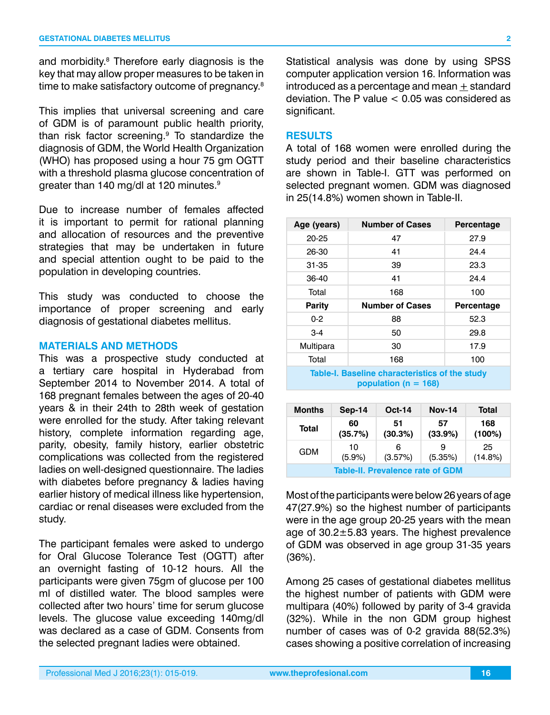and morbidity.8 Therefore early diagnosis is the key that may allow proper measures to be taken in time to make satisfactory outcome of pregnancy.<sup>8</sup>

This implies that universal screening and care of GDM is of paramount public health priority, than risk factor screening.9 To standardize the diagnosis of GDM, the World Health Organization (WHO) has proposed using a hour 75 gm OGTT with a threshold plasma glucose concentration of greater than 140 mg/dl at 120 minutes.9

Due to increase number of females affected it is important to permit for rational planning and allocation of resources and the preventive strategies that may be undertaken in future and special attention ought to be paid to the population in developing countries.

This study was conducted to choose the importance of proper screening and early diagnosis of gestational diabetes mellitus.

## **MATERIALS AND METHODS**

This was a prospective study conducted at a tertiary care hospital in Hyderabad from September 2014 to November 2014. A total of 168 pregnant females between the ages of 20-40 years & in their 24th to 28th week of gestation were enrolled for the study. After taking relevant history, complete information regarding age, parity, obesity, family history, earlier obstetric complications was collected from the registered ladies on well-designed questionnaire. The ladies with diabetes before pregnancy & ladies having earlier history of medical illness like hypertension, cardiac or renal diseases were excluded from the study.

The participant females were asked to undergo for Oral Glucose Tolerance Test (OGTT) after an overnight fasting of 10-12 hours. All the participants were given 75gm of glucose per 100 ml of distilled water. The blood samples were collected after two hours' time for serum glucose levels. The glucose value exceeding 140mg/dl was declared as a case of GDM. Consents from the selected pregnant ladies were obtained.

Statistical analysis was done by using SPSS computer application version 16. Information was introduced as a percentage and mean  $\pm$  standard deviation. The P value  $< 0.05$  was considered as significant.

## **RESULTS**

A total of 168 women were enrolled during the study period and their baseline characteristics are shown in Table-I. GTT was performed on selected pregnant women. GDM was diagnosed in 25(14.8%) women shown in Table-II.

| Age (years)   | <b>Number of Cases</b> | Percentage |
|---------------|------------------------|------------|
| 20-25         | 47                     | 27.9       |
| 26-30         | 41                     | 24.4       |
| 31-35         | 39                     | 23.3       |
| 36-40         | 41                     | 24.4       |
| Total         | 168                    | 100        |
|               |                        |            |
| <b>Parity</b> | <b>Number of Cases</b> | Percentage |
| $0 - 2$       | 88                     | 52.3       |
| $3-4$         | 50                     | 29.8       |
| Multipara     | 30                     | 17.9       |
| Total         | 168                    | 100        |

**population (n = 168)**

| <b>Months</b>                           | Sep-14    | $Oct-14$ | <b>Nov-14</b> | Total   |
|-----------------------------------------|-----------|----------|---------------|---------|
| Total                                   | 60        | 51       | 57            | 168     |
|                                         | (35.7%)   | (30.3%)  | (33.9%)       | (100%)  |
| GDM                                     | 10        | 6        | я             | 25      |
|                                         | $(5.9\%)$ | (3.57%)  | (5.35%)       | (14.8%) |
| <b>Table-II. Prevalence rate of GDM</b> |           |          |               |         |

Most of the participants were below 26 years of age 47(27.9%) so the highest number of participants were in the age group 20-25 years with the mean age of 30.2±5.83 years. The highest prevalence of GDM was observed in age group 31-35 years (36%).

Among 25 cases of gestational diabetes mellitus the highest number of patients with GDM were multipara (40%) followed by parity of 3-4 gravida (32%). While in the non GDM group highest number of cases was of 0-2 gravida 88(52.3%) cases showing a positive correlation of increasing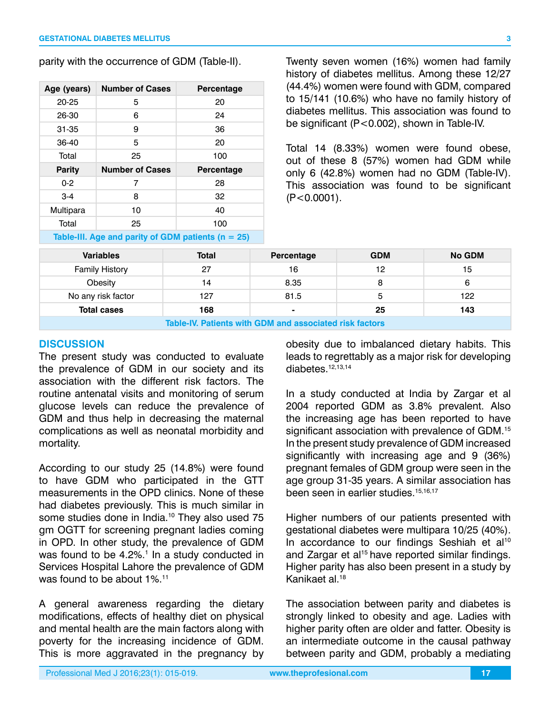parity with the occurrence of GDM (Table-II).

| Age (years)   | <b>Number of Cases</b> | Percentage |
|---------------|------------------------|------------|
| 20-25         | 5                      | 20         |
| 26-30         | 6                      | 24         |
| 31-35         | 9                      | 36         |
| 36-40         | 5                      | 20         |
| Total         | 25                     | 100        |
|               |                        |            |
| <b>Parity</b> | <b>Number of Cases</b> | Percentage |
| $0 - 2$       | 7                      | 28         |
| $3-4$         | 8                      | 32         |
| Multipara     | 10                     | 40         |
| Total         | 25                     | 100        |

Twenty seven women (16%) women had family history of diabetes mellitus. Among these 12/27 (44.4%) women were found with GDM, compared to 15/141 (10.6%) who have no family history of diabetes mellitus. This association was found to be significant (P<0.002), shown in Table-IV.

Total 14 (8.33%) women were found obese, out of these 8 (57%) women had GDM while only 6 (42.8%) women had no GDM (Table-IV). This association was found to be significant  $(P < 0.0001)$ .

| <b>Variables</b>                                        | <b>Total</b> | Percentage | <b>GDM</b> | <b>No GDM</b> |
|---------------------------------------------------------|--------------|------------|------------|---------------|
| <b>Family History</b>                                   | 27           | 16         | 12         | 15            |
| Obesity                                                 | 14           | 8.35       | 8          | 6             |
| No any risk factor                                      | 127          | 81.5       | 5          | 122           |
| <b>Total cases</b>                                      | 168          |            | 25         | 143           |
| Table-IV. Patients with GDM and associated risk factors |              |            |            |               |

## **DISCUSSION**

The present study was conducted to evaluate the prevalence of GDM in our society and its association with the different risk factors. The routine antenatal visits and monitoring of serum glucose levels can reduce the prevalence of GDM and thus help in decreasing the maternal complications as well as neonatal morbidity and mortality.

According to our study 25 (14.8%) were found to have GDM who participated in the GTT measurements in the OPD clinics. None of these had diabetes previously. This is much similar in some studies done in India.<sup>10</sup> They also used 75 gm OGTT for screening pregnant ladies coming in OPD. In other study, the prevalence of GDM was found to be 4.2%.<sup>1</sup> In a study conducted in Services Hospital Lahore the prevalence of GDM was found to be about 1%.<sup>11</sup>

A general awareness regarding the dietary modifications, effects of healthy diet on physical and mental health are the main factors along with poverty for the increasing incidence of GDM. This is more aggravated in the pregnancy by obesity due to imbalanced dietary habits. This leads to regrettably as a major risk for developing diabetes.12,13,14

In a study conducted at India by Zargar et al 2004 reported GDM as 3.8% prevalent. Also the increasing age has been reported to have significant association with prevalence of GDM.<sup>15</sup> In the present study prevalence of GDM increased significantly with increasing age and 9 (36%) pregnant females of GDM group were seen in the age group 31-35 years. A similar association has been seen in earlier studies.<sup>15,16,17</sup>

Higher numbers of our patients presented with gestational diabetes were multipara 10/25 (40%). In accordance to our findings Seshiah et al<sup>10</sup> and Zargar et al<sup>15</sup> have reported similar findings. Higher parity has also been present in a study by Kanikaet al.18

The association between parity and diabetes is strongly linked to obesity and age. Ladies with higher parity often are older and fatter. Obesity is an intermediate outcome in the causal pathway between parity and GDM, probably a mediating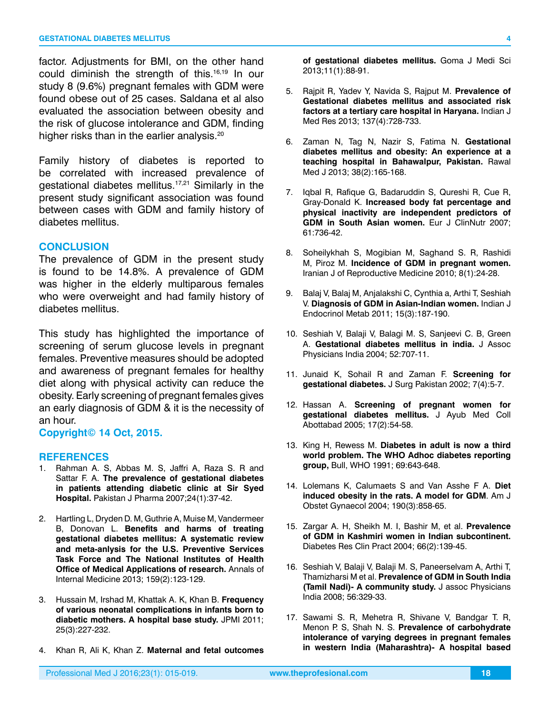factor. Adjustments for BMI, on the other hand could diminish the strength of this.16,19 In our study 8 (9.6%) pregnant females with GDM were found obese out of 25 cases. Saldana et al also evaluated the association between obesity and the risk of glucose intolerance and GDM, finding higher risks than in the earlier analysis.<sup>20</sup>

Family history of diabetes is reported to be correlated with increased prevalence of gestational diabetes mellitus.17,21 Similarly in the present study significant association was found between cases with GDM and family history of diabetes mellitus.

#### **CONCLUSION**

The prevalence of GDM in the present study is found to be 14.8%. A prevalence of GDM was higher in the elderly multiparous females who were overweight and had family history of diabetes mellitus.

This study has highlighted the importance of screening of serum glucose levels in pregnant females. Preventive measures should be adopted and awareness of pregnant females for healthy diet along with physical activity can reduce the obesity. Early screening of pregnant females gives an early diagnosis of GDM & it is the necessity of an hour.

#### **Copyright© 14 Oct, 2015.**

#### **REFERENCES**

- 1. Rahman A. S, Abbas M. S, Jaffri A, Raza S. R and Sattar F. A. **The prevalence of gestational diabetes in patients attending diabetic clinic at Sir Syed Hospital.** Pakistan J Pharma 2007;24(1):37-42.
- 2. Hartling L, Dryden D. M, Guthrie A, Muise M, Vandermeer B, Donovan L. **Benefits and harms of treating gestational diabetes mellitus: A systematic review and meta-anlysis for the U.S. Preventive Services Task Force and The National Institutes of Health Office of Medical Applications of research.** Annals of Internal Medicine 2013; 159(2):123-129.
- 3. Hussain M, Irshad M, Khattak A. K, Khan B. **Frequency of various neonatal complications in infants born to diabetic mothers. A hospital base study.** JPMI 2011; 25(3):227-232.
- 4. Khan R, Ali K, Khan Z. **Maternal and fetal outcomes**

**of gestational diabetes mellitus.** Goma J Medi Sci 2013;11(1):88-91.

- 5. Rajpit R, Yadev Y, Navida S, Rajput M. **Prevalence of Gestational diabetes mellitus and associated risk factors at a tertiary care hospital in Haryana.** Indian J Med Res 2013; 137(4):728-733.
- 6. Zaman N, Tag N, Nazir S, Fatima N. **Gestational diabetes mellitus and obesity: An experience at a teaching hospital in Bahawalpur, Pakistan.** Rawal Med J 2013; 38(2):165-168.
- 7. Iqbal R, Rafique G, Badaruddin S, Qureshi R, Cue R, Gray-Donald K. **Increased body fat percentage and physical inactivity are independent predictors of GDM in South Asian women.** Eur J ClinNutr 2007; 61:736-42.
- 8. Soheilykhah S, Mogibian M, Saghand S. R, Rashidi M, Piroz M. **Incidence of GDM in pregnant women.**  Iranian J of Reproductive Medicine 2010; 8(1):24-28.
- 9. Balaj V, Balaj M, Anjalakshi C, Cynthia a, Arthi T, Seshiah V. **Diagnosis of GDM in Asian-Indian women.** Indian J Endocrinol Metab 2011; 15(3):187-190.
- 10. Seshiah V, Balaji V, Balagi M. S, Sanjeevi C. B, Green A. **Gestational diabetes mellitus in india.** J Assoc Physicians India 2004; 52:707-11.
- 11. Junaid K, Sohail R and Zaman F. **Screening for gestational diabetes.** J Surg Pakistan 2002; 7(4):5-7.
- 12. Hassan A. **Screening of pregnant women for gestational diabetes mellitus.** J Ayub Med Coll Abottabad 2005; 17(2):54-58.
- 13. King H, Rewess M. **Diabetes in adult is now a third world problem. The WHO Adhoc diabetes reporting group,** Bull, WHO 1991; 69:643-648.
- 14. Lolemans K, Calumaets S and Van Asshe F A. **Diet induced obesity in the rats. A model for GDM**. Am J Obstet Gynaecol 2004; 190(3):858-65.
- 15. Zargar A. H, Sheikh M. I, Bashir M, et al. **Prevalence of GDM in Kashmiri women in Indian subcontinent.** Diabetes Res Clin Pract 2004; 66(2):139-45.
- 16. Seshiah V, Balaji V, Balaji M. S, Paneerselvam A, Arthi T, Thamizharsi M et al. **Prevalence of GDM in South India (Tamil Nadi)- A community study.** J assoc Physicians India 2008; 56:329-33.
- 17. Sawami S. R, Mehetra R, Shivane V, Bandgar T. R, Menon P. S, Shah N. S. **Prevalence of carbohydrate intolerance of varying degrees in pregnant females in western India (Maharashtra)- A hospital based**